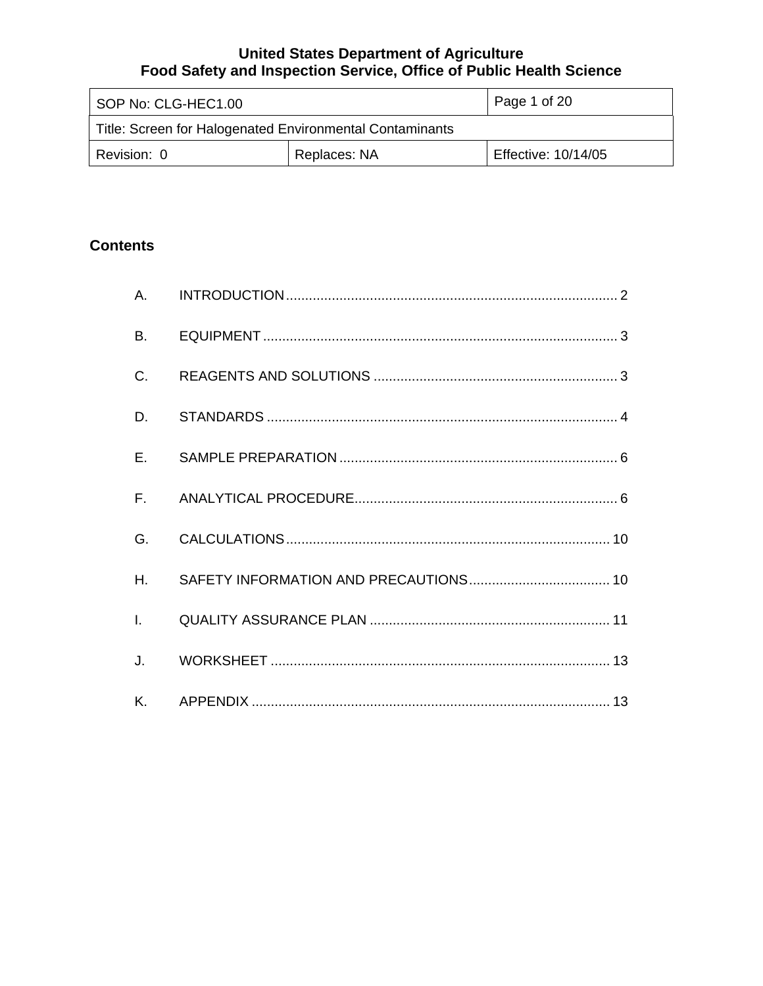| SOP No: CLG-HEC1.00                                      |  | Page 1 of 20        |
|----------------------------------------------------------|--|---------------------|
| Title: Screen for Halogenated Environmental Contaminants |  |                     |
| Replaces: NA<br>Revision: 0                              |  | Effective: 10/14/05 |

# **Contents**

| B.           |  |
|--------------|--|
| C.           |  |
| D.           |  |
| E.           |  |
| $F_{\rm{r}}$ |  |
| G.           |  |
| Η.           |  |
| $\mathbf{L}$ |  |
| J.           |  |
| Κ.           |  |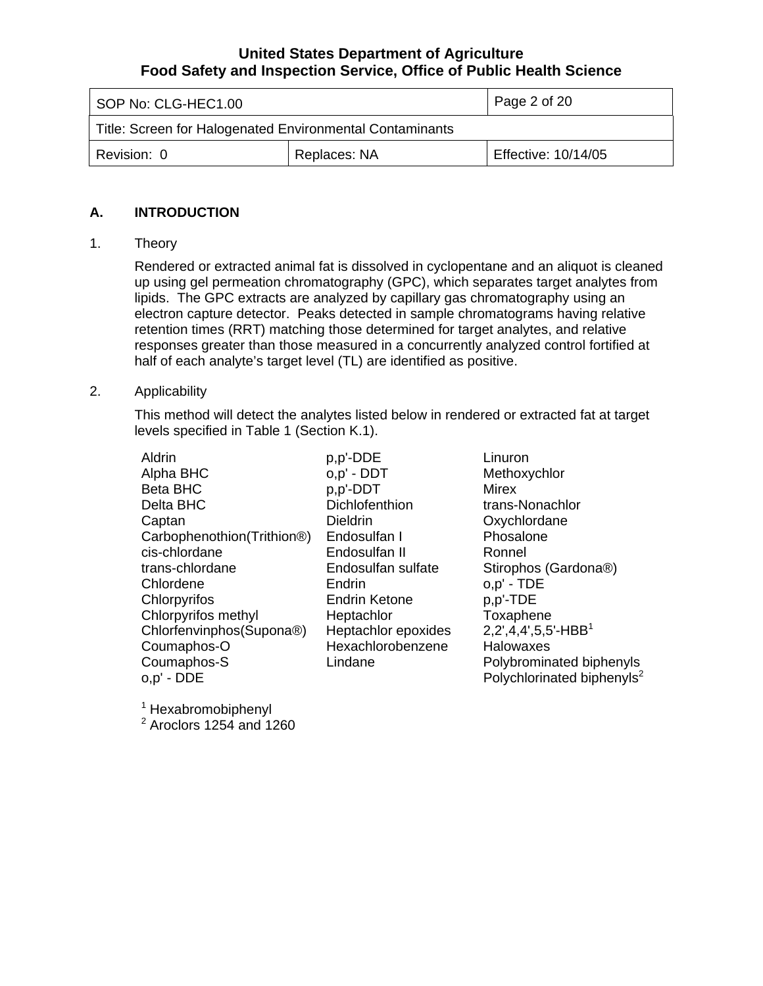<span id="page-1-0"></span>

| SOP No: CLG-HEC1.00                                      |  | Page 2 of 20        |
|----------------------------------------------------------|--|---------------------|
| Title: Screen for Halogenated Environmental Contaminants |  |                     |
| Replaces: NA<br>Revision: 0                              |  | Effective: 10/14/05 |

### **A. INTRODUCTION**

### 1. Theory

Rendered or extracted animal fat is dissolved in cyclopentane and an aliquot is cleaned up using gel permeation chromatography (GPC), which separates target analytes from lipids. The GPC extracts are analyzed by capillary gas chromatography using an electron capture detector. Peaks detected in sample chromatograms having relative retention times (RRT) matching those determined for target analytes, and relative responses greater than those measured in a concurrently analyzed control fortified at half of each analyte's target level (TL) are identified as positive.

## 2. Applicability

This method will detect the analytes listed below in rendered or extracted fat at target levels specified in Table 1 (Section K.1).

| <b>Aldrin</b>              | p,p'-DDE             | Linuron                                |
|----------------------------|----------------------|----------------------------------------|
| Alpha BHC                  | o,p' - DDT           | Methoxychlor                           |
| <b>Beta BHC</b>            | p,p'-DDT             | Mirex                                  |
| Delta BHC                  | Dichlofenthion       | trans-Nonachlor                        |
| Captan                     | Dieldrin             | Oxychlordane                           |
| Carbophenothion(Trithion®) | Endosulfan I         | Phosalone                              |
| cis-chlordane              | Endosulfan II        | Ronnel                                 |
| trans-chlordane            | Endosulfan sulfate   | Stirophos (Gardona®)                   |
| Chlordene                  | Endrin               | $o, p' - TDE$                          |
| Chlorpyrifos               | <b>Endrin Ketone</b> | p,p'-TDE                               |
| Chlorpyrifos methyl        | Heptachlor           | Toxaphene                              |
| Chlorfenvinphos(Supona®)   | Heptachlor epoxides  | $2,2',4,4',5,5'-HBB1$                  |
| Coumaphos-O                | Hexachlorobenzene    | Halowaxes                              |
| Coumaphos-S                | Lindane              | Polybrominated biphenyls               |
| o,p' - DDE                 |                      | Polychlorinated biphenyls <sup>2</sup> |
|                            |                      |                                        |

1 Hexabromobiphenyl

 $2$  Aroclors 1254 and 1260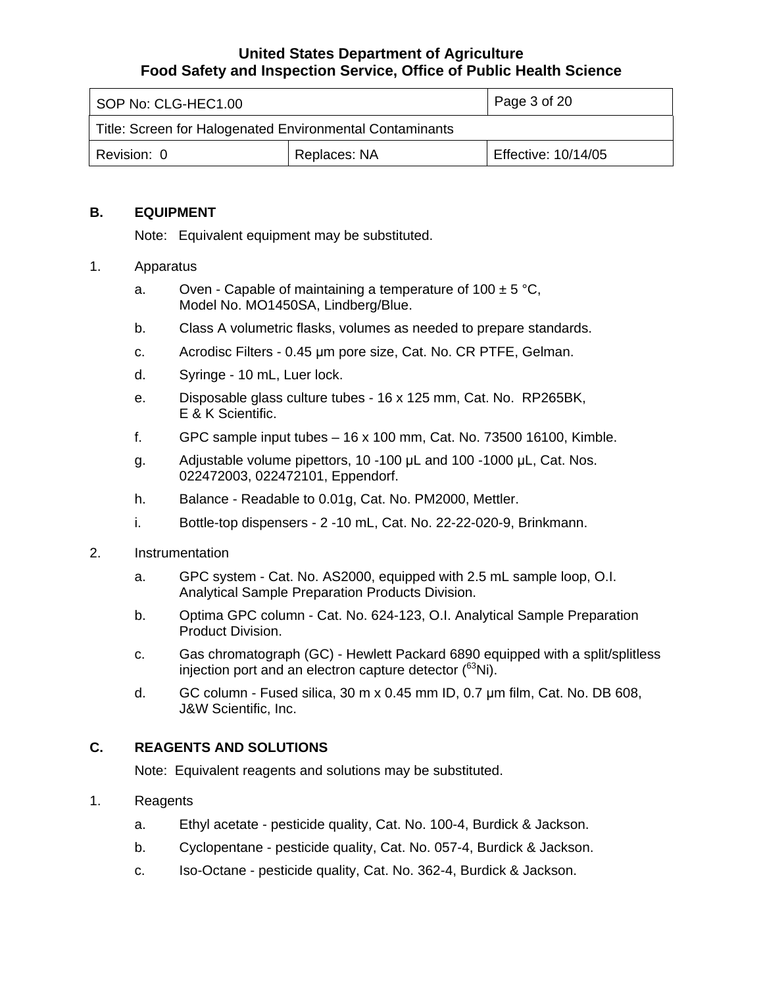<span id="page-2-0"></span>

| I SOP No: CLG-HEC1.00                                    |  | Page 3 of 20        |
|----------------------------------------------------------|--|---------------------|
| Title: Screen for Halogenated Environmental Contaminants |  |                     |
| Replaces: NA<br>Revision: 0                              |  | Effective: 10/14/05 |

### **B. EQUIPMENT**

Note: Equivalent equipment may be substituted.

### 1. Apparatus

- a. Oven Capable of maintaining a temperature of  $100 \pm 5$  °C. Model No. MO1450SA, Lindberg/Blue.
- b. Class A volumetric flasks, volumes as needed to prepare standards.
- c. Acrodisc Filters 0.45 μm pore size, Cat. No. CR PTFE, Gelman.
- d. Syringe 10 mL, Luer lock.
- e. Disposable glass culture tubes 16 x 125 mm, Cat. No. RP265BK, E & K Scientific.
- f. GPC sample input tubes 16 x 100 mm, Cat. No. 73500 16100, Kimble.
- g. Adjustable volume pipettors, 10 -100 μL and 100 -1000 μL, Cat. Nos. 022472003, 022472101, Eppendorf.
- h. Balance Readable to 0.01g, Cat. No. PM2000, Mettler.
- i. Bottle-top dispensers 2 -10 mL, Cat. No. 22-22-020-9, Brinkmann.
- 2. Instrumentation
	- a. GPC system Cat. No. AS2000, equipped with 2.5 mL sample loop, O.I. Analytical Sample Preparation Products Division.
	- b. Optima GPC column Cat. No. 624-123, O.I. Analytical Sample Preparation Product Division.
	- c. Gas chromatograph (GC) Hewlett Packard 6890 equipped with a split/splitless injection port and an electron capture detector (<sup>63</sup>Ni).
	- d. GC column Fused silica, 30 m x 0.45 mm ID, 0.7 µm film, Cat. No. DB 608, J&W Scientific, Inc.

## **C. REAGENTS AND SOLUTIONS**

Note: Equivalent reagents and solutions may be substituted.

- 1. Reagents
	- a. Ethyl acetate pesticide quality, Cat. No. 100-4, Burdick & Jackson.
	- b. Cyclopentane pesticide quality, Cat. No. 057-4, Burdick & Jackson.
	- c. Iso-Octane pesticide quality, Cat. No. 362-4, Burdick & Jackson.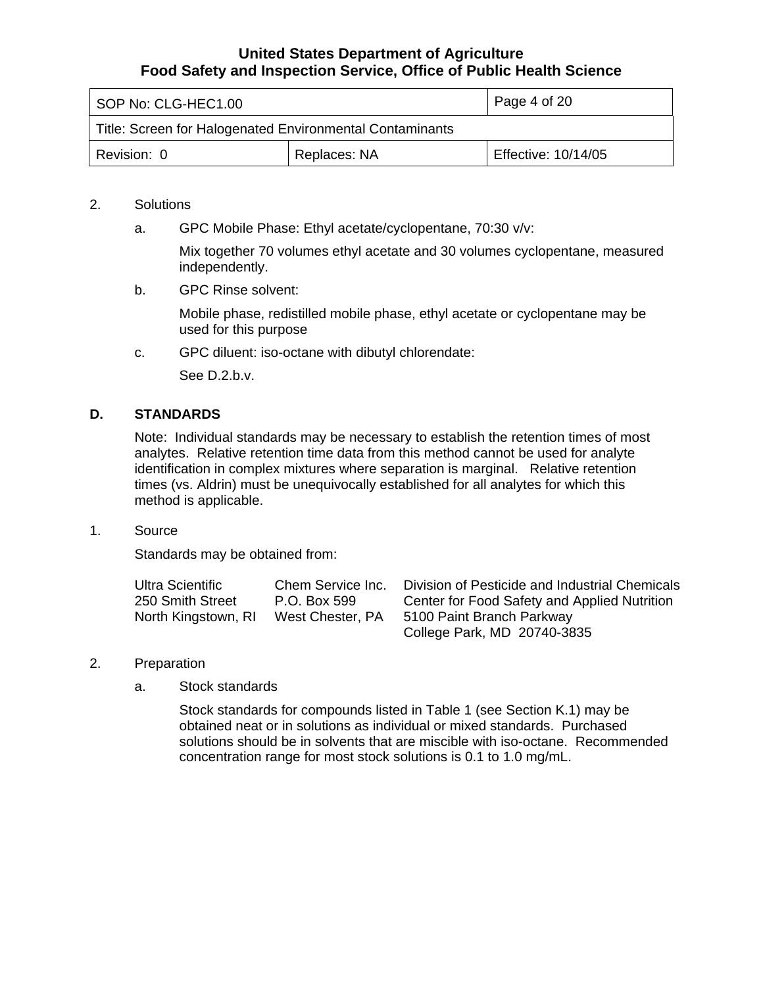<span id="page-3-0"></span>

| SOP No: CLG-HEC1.00                                      |  | Page 4 of 20        |
|----------------------------------------------------------|--|---------------------|
| Title: Screen for Halogenated Environmental Contaminants |  |                     |
| Replaces: NA<br>Revision: 0                              |  | Effective: 10/14/05 |

## 2. Solutions

a. GPC Mobile Phase: Ethyl acetate/cyclopentane, 70:30 v/v:

Mix together 70 volumes ethyl acetate and 30 volumes cyclopentane, measured independently.

b. GPC Rinse solvent:

Mobile phase, redistilled mobile phase, ethyl acetate or cyclopentane may be used for this purpose

c. GPC diluent: iso-octane with dibutyl chlorendate:

See D.2.b.v.

### **D. STANDARDS**

Note: Individual standards may be necessary to establish the retention times of most analytes. Relative retention time data from this method cannot be used for analyte identification in complex mixtures where separation is marginal. Relative retention times (vs. Aldrin) must be unequivocally established for all analytes for which this method is applicable.

1. Source

Standards may be obtained from:

| Ultra Scientific    | Chem Service Inc. | Division of Pesticide and Industrial Chemicals |
|---------------------|-------------------|------------------------------------------------|
| 250 Smith Street    | P.O. Box 599      | Center for Food Safety and Applied Nutrition   |
| North Kingstown, RI | West Chester, PA  | 5100 Paint Branch Parkway                      |
|                     |                   | College Park, MD 20740-3835                    |

- 2. Preparation
	- a. Stock standards

Stock standards for compounds listed in Table 1 (see Section K.1) may be obtained neat or in solutions as individual or mixed standards. Purchased solutions should be in solvents that are miscible with iso-octane. Recommended concentration range for most stock solutions is 0.1 to 1.0 mg/mL.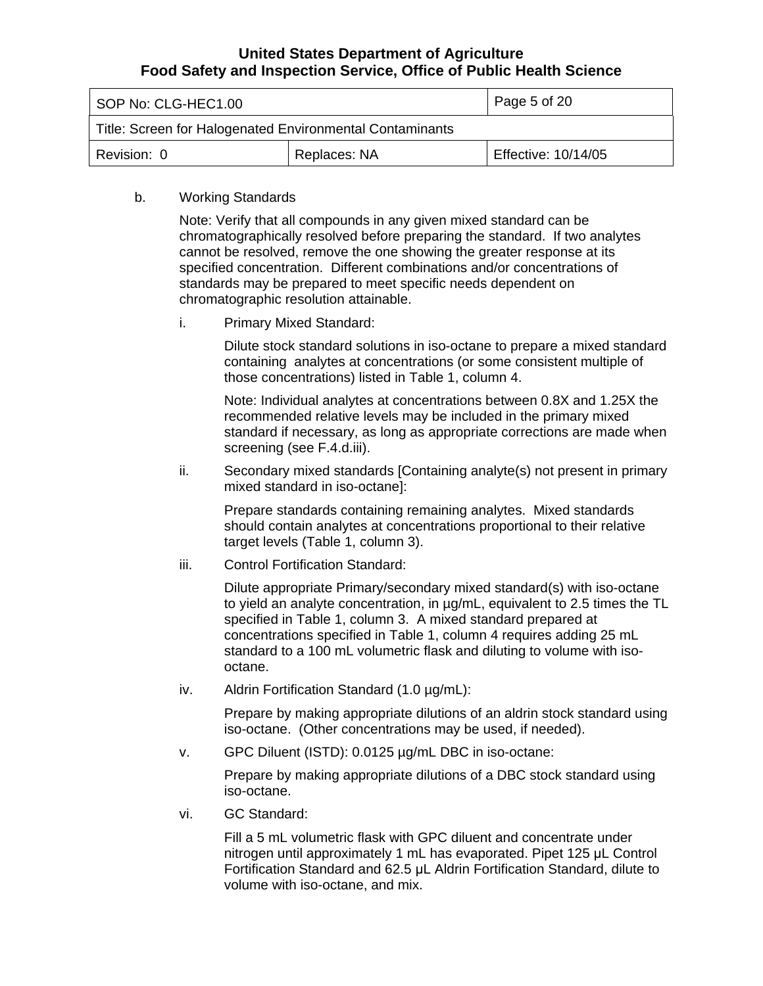| SOP No: CLG-HEC1.00                                      |  | Page 5 of 20        |
|----------------------------------------------------------|--|---------------------|
| Title: Screen for Halogenated Environmental Contaminants |  |                     |
| Replaces: NA<br>Revision: 0                              |  | Effective: 10/14/05 |

#### b. Working Standards

Note: Verify that all compounds in any given mixed standard can be chromatographically resolved before preparing the standard. If two analytes cannot be resolved, remove the one showing the greater response at its specified concentration. Different combinations and/or concentrations of standards may be prepared to meet specific needs dependent on chromatographic resolution attainable.

i. Primary Mixed Standard:

Dilute stock standard solutions in iso-octane to prepare a mixed standard containing analytes at concentrations (or some consistent multiple of those concentrations) listed in Table 1, column 4.

Note: Individual analytes at concentrations between 0.8X and 1.25X the recommended relative levels may be included in the primary mixed standard if necessary, as long as appropriate corrections are made when screening (see F.4.d.iii).

ii. Secondary mixed standards [Containing analyte(s) not present in primary mixed standard in iso-octane]:

Prepare standards containing remaining analytes. Mixed standards should contain analytes at concentrations proportional to their relative target levels (Table 1, column 3).

iii. Control Fortification Standard:

Dilute appropriate Primary/secondary mixed standard(s) with iso-octane to yield an analyte concentration, in µg/mL, equivalent to 2.5 times the TL specified in Table 1, column 3. A mixed standard prepared at concentrations specified in Table 1, column 4 requires adding 25 mL standard to a 100 mL volumetric flask and diluting to volume with isooctane.

iv. Aldrin Fortification Standard (1.0 µg/mL):

Prepare by making appropriate dilutions of an aldrin stock standard using iso-octane. (Other concentrations may be used, if needed).

v. GPC Diluent (ISTD): 0.0125 µg/mL DBC in iso-octane:

Prepare by making appropriate dilutions of a DBC stock standard using iso-octane.

vi. GC Standard:

Fill a 5 mL volumetric flask with GPC diluent and concentrate under nitrogen until approximately 1 mL has evaporated. Pipet 125 μL Control Fortification Standard and 62.5 μL Aldrin Fortification Standard, dilute to volume with iso-octane, and mix.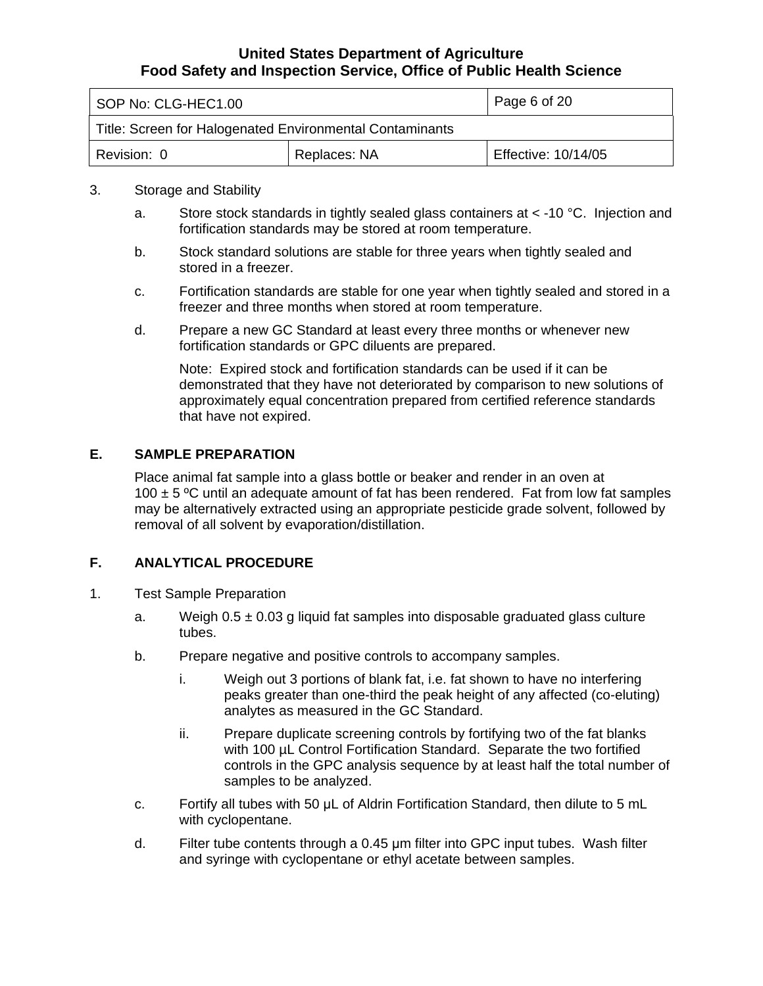<span id="page-5-0"></span>

| SOP No: CLG-HEC1.00                                      |  | Page 6 of 20        |
|----------------------------------------------------------|--|---------------------|
| Title: Screen for Halogenated Environmental Contaminants |  |                     |
| Replaces: NA<br>Revision: 0                              |  | Effective: 10/14/05 |

#### 3. Storage and Stability

- a. Store stock standards in tightly sealed glass containers at  $<$  -10 °C. Injection and fortification standards may be stored at room temperature.
- b. Stock standard solutions are stable for three years when tightly sealed and stored in a freezer.
- c. Fortification standards are stable for one year when tightly sealed and stored in a freezer and three months when stored at room temperature.
- d. Prepare a new GC Standard at least every three months or whenever new fortification standards or GPC diluents are prepared.

Note: Expired stock and fortification standards can be used if it can be demonstrated that they have not deteriorated by comparison to new solutions of approximately equal concentration prepared from certified reference standards that have not expired.

### **E. SAMPLE PREPARATION**

Place animal fat sample into a glass bottle or beaker and render in an oven at 100  $\pm$  5 °C until an adequate amount of fat has been rendered. Fat from low fat samples may be alternatively extracted using an appropriate pesticide grade solvent, followed by removal of all solvent by evaporation/distillation.

## **F. ANALYTICAL PROCEDURE**

- 1. Test Sample Preparation
	- a. Weigh  $0.5 \pm 0.03$  g liquid fat samples into disposable graduated glass culture tubes.
	- b. Prepare negative and positive controls to accompany samples.
		- i. Weigh out 3 portions of blank fat, i.e. fat shown to have no interfering peaks greater than one-third the peak height of any affected (co-eluting) analytes as measured in the GC Standard.
		- ii. Prepare duplicate screening controls by fortifying two of the fat blanks with 100 µL Control Fortification Standard. Separate the two fortified controls in the GPC analysis sequence by at least half the total number of samples to be analyzed.
	- c. Fortify all tubes with 50 μL of Aldrin Fortification Standard, then dilute to 5 mL with cyclopentane.
	- d. Filter tube contents through a 0.45 μm filter into GPC input tubes. Wash filter and syringe with cyclopentane or ethyl acetate between samples.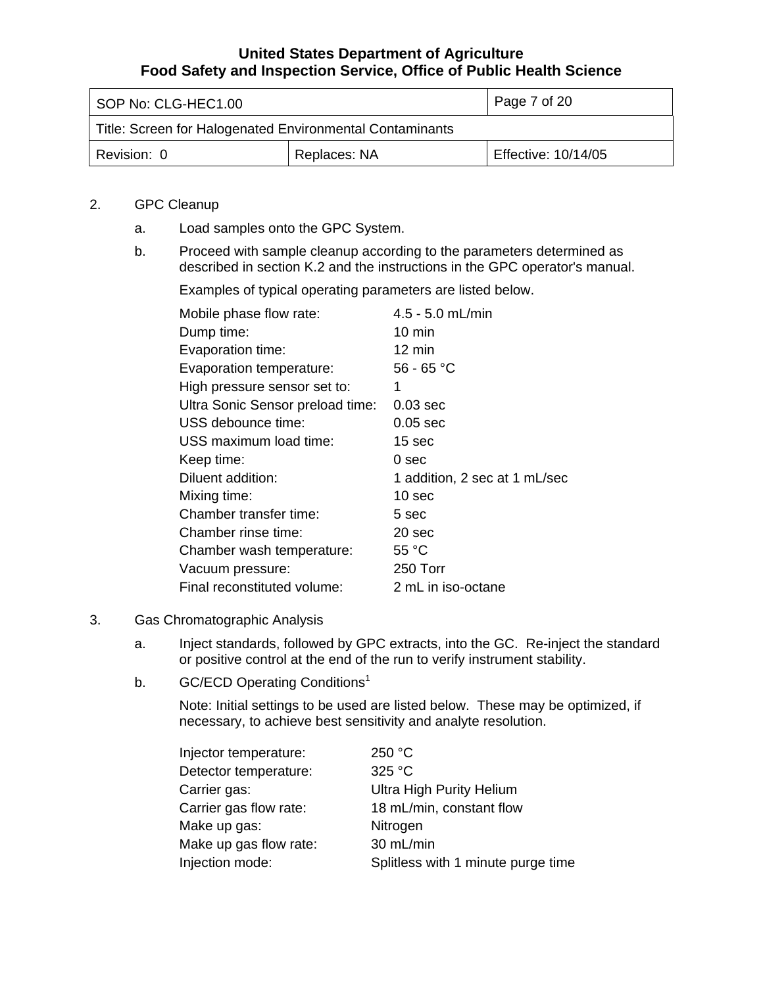| SOP No: CLG-HEC1.00                                      |  | Page 7 of 20        |
|----------------------------------------------------------|--|---------------------|
| Title: Screen for Halogenated Environmental Contaminants |  |                     |
| Replaces: NA<br>Revision: 0                              |  | Effective: 10/14/05 |

## 2. GPC Cleanup

- a. Load samples onto the GPC System.
- b. Proceed with sample cleanup according to the parameters determined as described in section K.2 and the instructions in the GPC operator's manual.

Examples of typical operating parameters are listed below.

| Mobile phase flow rate:          | $4.5 - 5.0$ mL/min            |
|----------------------------------|-------------------------------|
| Dump time:                       | $10 \text{ min}$              |
| Evaporation time:                | 12 min                        |
| Evaporation temperature:         | $56 - 65 °C$                  |
| High pressure sensor set to:     | 1                             |
| Ultra Sonic Sensor preload time: | $0.03$ sec                    |
| USS debounce time:               | $0.05$ sec                    |
| USS maximum load time:           | 15 sec                        |
| Keep time:                       | 0 sec                         |
| Diluent addition:                | 1 addition, 2 sec at 1 mL/sec |
| Mixing time:                     | 10 sec                        |
| Chamber transfer time:           | 5 sec                         |
| Chamber rinse time:              | 20 sec                        |
| Chamber wash temperature:        | 55 °C                         |
| Vacuum pressure:                 | 250 Torr                      |
| Final reconstituted volume:      | 2 mL in iso-octane            |

### 3. Gas Chromatographic Analysis

- a. Inject standards, followed by GPC extracts, into the GC. Re-inject the standard or positive control at the end of the run to verify instrument stability.
- b. GC/ECD Operating Conditions<sup>1</sup>

Note: Initial settings to be used are listed below. These may be optimized, if necessary, to achieve best sensitivity and analyte resolution.

| Injector temperature:  | 250 °C                             |
|------------------------|------------------------------------|
| Detector temperature:  | 325 °C                             |
| Carrier gas:           | <b>Ultra High Purity Helium</b>    |
| Carrier gas flow rate: | 18 mL/min, constant flow           |
| Make up gas:           | Nitrogen                           |
| Make up gas flow rate: | 30 mL/min                          |
| Injection mode:        | Splitless with 1 minute purge time |
|                        |                                    |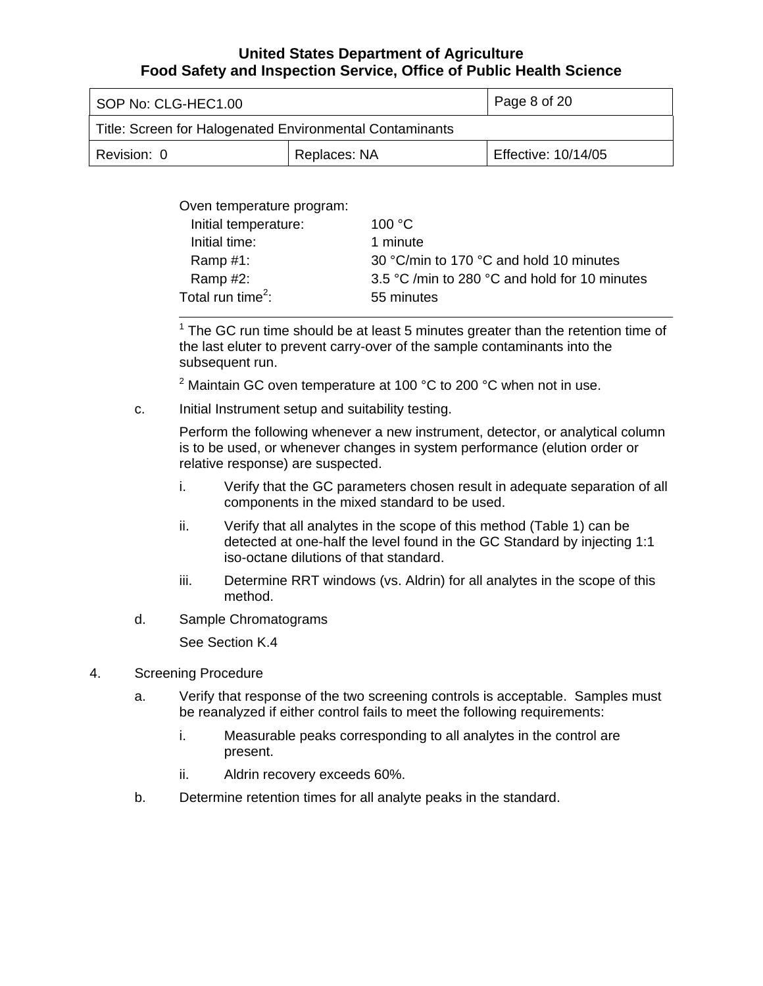| SOP No: CLG-HEC1.00                                      |                     | Page 8 of 20 |
|----------------------------------------------------------|---------------------|--------------|
| Title: Screen for Halogenated Environmental Contaminants |                     |              |
| Revision: 0                                              | Effective: 10/14/05 |              |

Oven temperature program:

| Initial temperature:  | 100 $\degree$ C                               |
|-----------------------|-----------------------------------------------|
| Initial time:         | 1 minute                                      |
| Ramp $#1$ :           | 30 °C/min to 170 °C and hold 10 minutes       |
| Ramp #2:              | 3.5 °C /min to 280 °C and hold for 10 minutes |
| Total run time $^2$ : | 55 minutes                                    |
|                       |                                               |

 $1$  The GC run time should be at least 5 minutes greater than the retention time of the last eluter to prevent carry-over of the sample contaminants into the subsequent run.

<sup>2</sup> Maintain GC oven temperature at 100 °C to 200 °C when not in use.

c. Initial Instrument setup and suitability testing.

Perform the following whenever a new instrument, detector, or analytical column is to be used, or whenever changes in system performance (elution order or relative response) are suspected.

- i. Verify that the GC parameters chosen result in adequate separation of all components in the mixed standard to be used.
- ii. Verify that all analytes in the scope of this method (Table 1) can be detected at one-half the level found in the GC Standard by injecting 1:1 iso-octane dilutions of that standard.
- iii. Determine RRT windows (vs. Aldrin) for all analytes in the scope of this method.
- d. Sample Chromatograms

See Section K.4

- 4. Screening Procedure
	- a. Verify that response of the two screening controls is acceptable. Samples must be reanalyzed if either control fails to meet the following requirements:
		- i. Measurable peaks corresponding to all analytes in the control are present.
		- ii. Aldrin recovery exceeds 60%.
	- b. Determine retention times for all analyte peaks in the standard.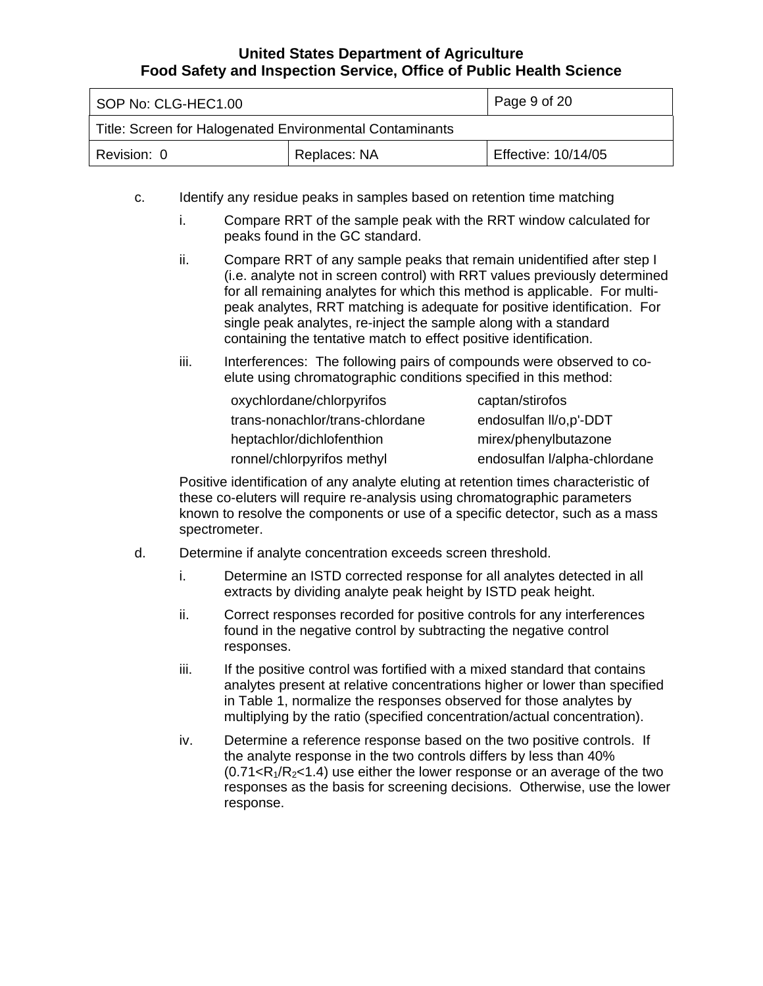| SOP No: CLG-HEC1.00                                      |                     | Page 9 of 20 |
|----------------------------------------------------------|---------------------|--------------|
| Title: Screen for Halogenated Environmental Contaminants |                     |              |
| Revision: 0                                              | Effective: 10/14/05 |              |

- c. Identify any residue peaks in samples based on retention time matching
	- i. Compare RRT of the sample peak with the RRT window calculated for peaks found in the GC standard.
	- ii. Compare RRT of any sample peaks that remain unidentified after step I (i.e. analyte not in screen control) with RRT values previously determined for all remaining analytes for which this method is applicable. For multipeak analytes, RRT matching is adequate for positive identification. For single peak analytes, re-inject the sample along with a standard containing the tentative match to effect positive identification.
	- iii. Interferences: The following pairs of compounds were observed to coelute using chromatographic conditions specified in this method:

| oxychlordane/chlorpyrifos       | captan/stirofos              |
|---------------------------------|------------------------------|
| trans-nonachlor/trans-chlordane | endosulfan II/o,p'-DDT       |
| heptachlor/dichlofenthion       | mirex/phenylbutazone         |
| ronnel/chlorpyrifos methyl      | endosulfan I/alpha-chlordane |

Positive identification of any analyte eluting at retention times characteristic of these co-eluters will require re-analysis using chromatographic parameters known to resolve the components or use of a specific detector, such as a mass spectrometer.

- d. Determine if analyte concentration exceeds screen threshold.
	- i. Determine an ISTD corrected response for all analytes detected in all extracts by dividing analyte peak height by ISTD peak height.
	- ii. Correct responses recorded for positive controls for any interferences found in the negative control by subtracting the negative control responses.
	- iii. If the positive control was fortified with a mixed standard that contains analytes present at relative concentrations higher or lower than specified in Table 1, normalize the responses observed for those analytes by multiplying by the ratio (specified concentration/actual concentration).
	- iv. Determine a reference response based on the two positive controls. If the analyte response in the two controls differs by less than 40%  $(0.71 \le R_1/R_2 \le 1.4)$  use either the lower response or an average of the two responses as the basis for screening decisions. Otherwise, use the lower response.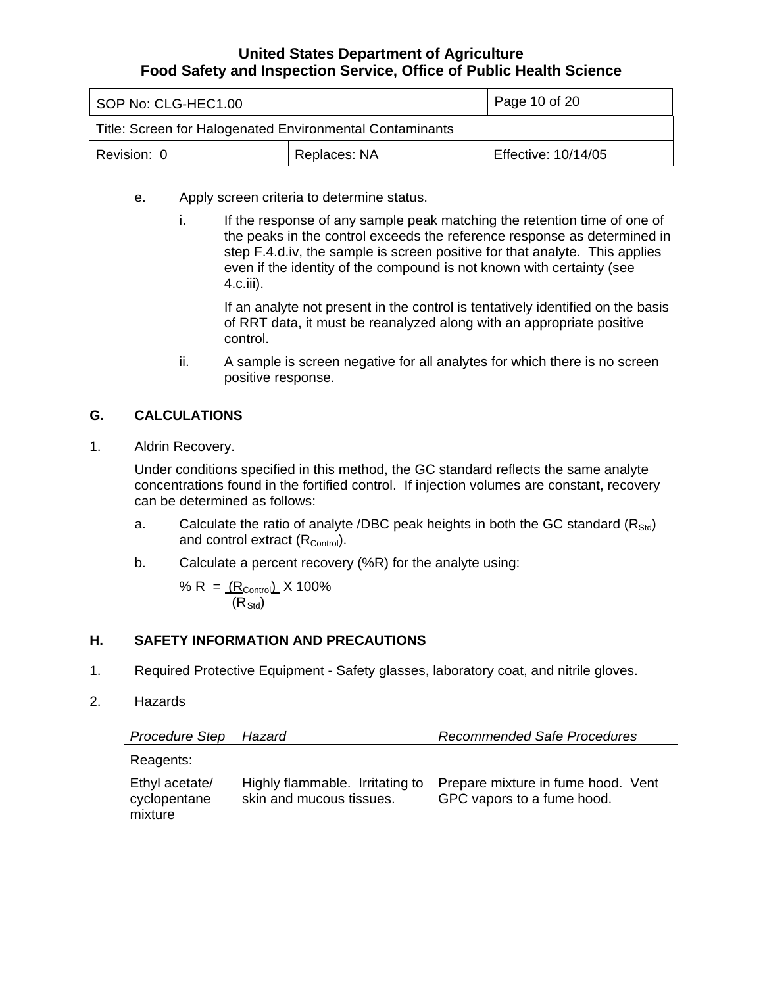<span id="page-9-0"></span>

| SOP No: CLG-HEC1.00                                      |                     | Page 10 of 20 |
|----------------------------------------------------------|---------------------|---------------|
| Title: Screen for Halogenated Environmental Contaminants |                     |               |
| Revision: 0                                              | Effective: 10/14/05 |               |

- e. Apply screen criteria to determine status.
	- i. If the response of any sample peak matching the retention time of one of the peaks in the control exceeds the reference response as determined in step F.4.d.iv, the sample is screen positive for that analyte. This applies even if the identity of the compound is not known with certainty (see 4.c.iii).

If an analyte not present in the control is tentatively identified on the basis of RRT data, it must be reanalyzed along with an appropriate positive control.

ii. A sample is screen negative for all analytes for which there is no screen positive response.

## **G. CALCULATIONS**

1. Aldrin Recovery.

Under conditions specified in this method, the GC standard reflects the same analyte concentrations found in the fortified control. If injection volumes are constant, recovery can be determined as follows:

- a. Calculate the ratio of analyte /DBC peak heights in both the GC standard  $(R_{\text{Std}})$ and control extract  $(R_{\text{Control}})$ .
- b. Calculate a percent recovery (%R) for the analyte using:

% R = 
$$
\frac{(R_{\text{Control}})}{(R_{\text{Std}})}
$$
 X 100%

## **H. SAFETY INFORMATION AND PRECAUTIONS**

- 1. Required Protective Equipment Safety glasses, laboratory coat, and nitrile gloves.
- 2. Hazards

| <b>Procedure Step</b>                     | Hazard                                                      | <b>Recommended Safe Procedures</b>                               |
|-------------------------------------------|-------------------------------------------------------------|------------------------------------------------------------------|
| Reagents:                                 |                                                             |                                                                  |
| Ethyl acetate/<br>cyclopentane<br>mixture | Highly flammable. Irritating to<br>skin and mucous tissues. | Prepare mixture in fume hood. Vent<br>GPC vapors to a fume hood. |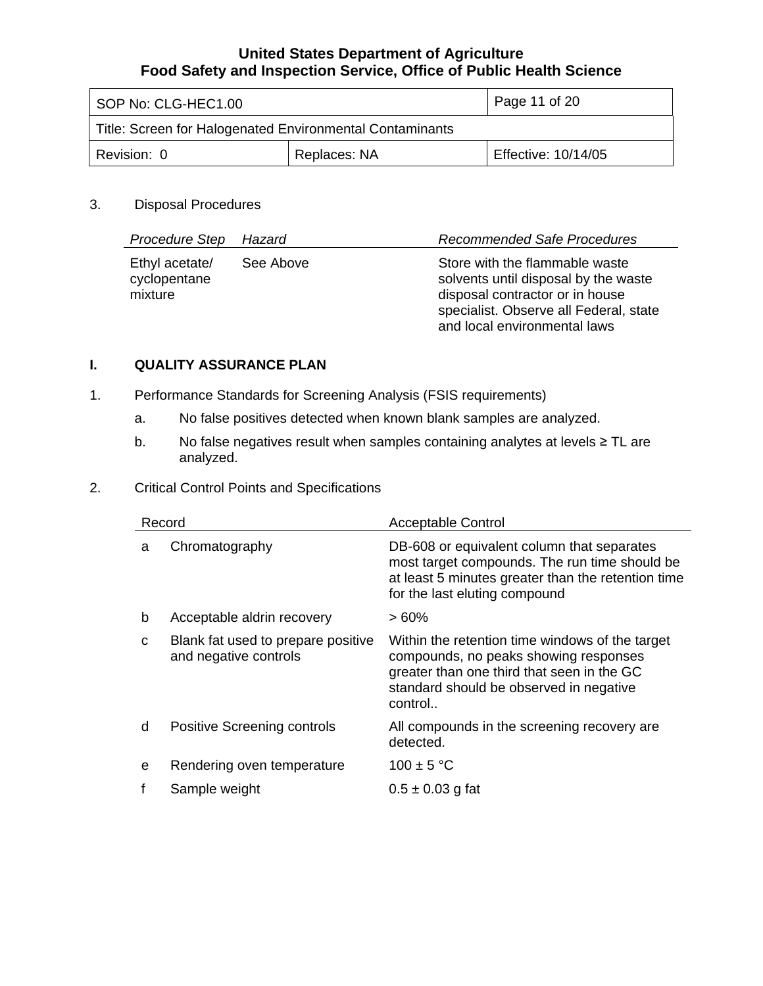<span id="page-10-0"></span>

| SOP No: CLG-HEC1.00                                      |                     | Page 11 of $20$ |
|----------------------------------------------------------|---------------------|-----------------|
| Title: Screen for Halogenated Environmental Contaminants |                     |                 |
| Replaces: NA<br>Revision: 0                              | Effective: 10/14/05 |                 |

## 3. Disposal Procedures

| <b>Procedure Step</b>                     | Hazard    | <b>Recommended Safe Procedures</b>                                                                                                                                                  |
|-------------------------------------------|-----------|-------------------------------------------------------------------------------------------------------------------------------------------------------------------------------------|
| Ethyl acetate/<br>cyclopentane<br>mixture | See Above | Store with the flammable waste<br>solvents until disposal by the waste<br>disposal contractor or in house<br>specialist. Observe all Federal, state<br>and local environmental laws |

## **I. QUALITY ASSURANCE PLAN**

- 1. Performance Standards for Screening Analysis (FSIS requirements)
	- a. No false positives detected when known blank samples are analyzed.
	- b. No false negatives result when samples containing analytes at levels ≥ TL are analyzed.

## 2. Critical Control Points and Specifications

| Record |                                                             | <b>Acceptable Control</b>                                                                                                                                                                    |
|--------|-------------------------------------------------------------|----------------------------------------------------------------------------------------------------------------------------------------------------------------------------------------------|
| a      | Chromatography                                              | DB-608 or equivalent column that separates<br>most target compounds. The run time should be<br>at least 5 minutes greater than the retention time<br>for the last eluting compound           |
| b      | Acceptable aldrin recovery                                  | $>60\%$                                                                                                                                                                                      |
| C      | Blank fat used to prepare positive<br>and negative controls | Within the retention time windows of the target<br>compounds, no peaks showing responses<br>greater than one third that seen in the GC<br>standard should be observed in negative<br>control |
| d      | <b>Positive Screening controls</b>                          | All compounds in the screening recovery are<br>detected.                                                                                                                                     |
| e      | Rendering oven temperature                                  | $100 \pm 5 °C$                                                                                                                                                                               |
|        | Sample weight                                               | $0.5 \pm 0.03$ g fat                                                                                                                                                                         |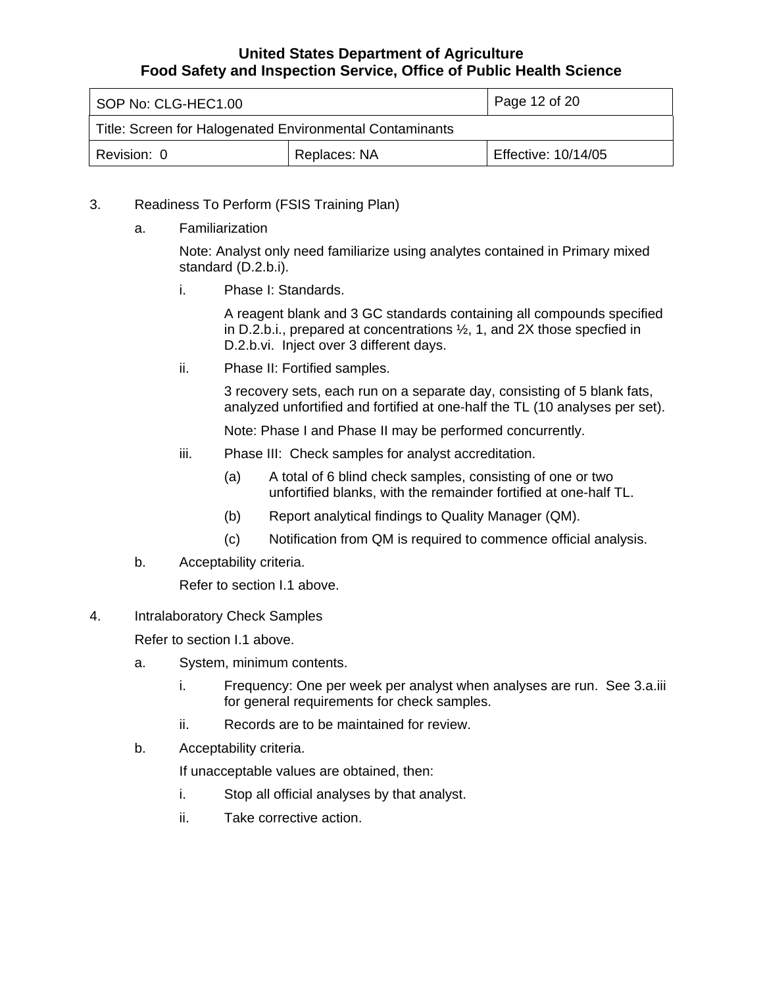| SOP No: CLG-HEC1.00                                      |                     | Page 12 of 20 |
|----------------------------------------------------------|---------------------|---------------|
| Title: Screen for Halogenated Environmental Contaminants |                     |               |
| Revision: 0                                              | Effective: 10/14/05 |               |

- 3. Readiness To Perform (FSIS Training Plan)
	- a. Familiarization

Note: Analyst only need familiarize using analytes contained in Primary mixed standard (D.2.b.i).

i. Phase I: Standards.

A reagent blank and 3 GC standards containing all compounds specified in D.2.b.i., prepared at concentrations ½, 1, and 2X those specfied in D.2.b.vi. Inject over 3 different days.

ii. Phase II: Fortified samples.

3 recovery sets, each run on a separate day, consisting of 5 blank fats, analyzed unfortified and fortified at one-half the TL (10 analyses per set).

Note: Phase I and Phase II may be performed concurrently.

- iii. Phase III: Check samples for analyst accreditation.
	- (a) A total of 6 blind check samples, consisting of one or two unfortified blanks, with the remainder fortified at one-half TL.
	- (b) Report analytical findings to Quality Manager (QM).
	- (c) Notification from QM is required to commence official analysis.
- b. Acceptability criteria.

Refer to section I.1 above.

4. Intralaboratory Check Samples

Refer to section I.1 above.

- a. System, minimum contents.
	- i. Frequency: One per week per analyst when analyses are run. See 3.a.iii for general requirements for check samples.
	- ii. Records are to be maintained for review.
- b. Acceptability criteria.

If unacceptable values are obtained, then:

- i. Stop all official analyses by that analyst.
- ii. Take corrective action.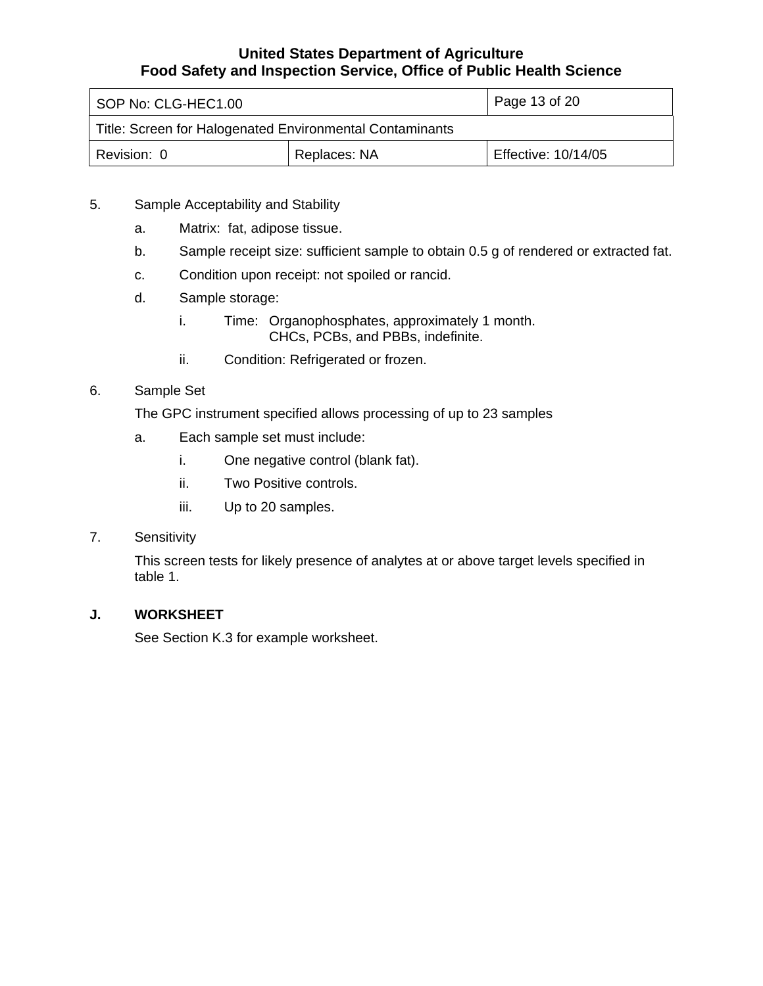<span id="page-12-0"></span>

| SOP No: CLG-HEC1.00                                      |                     | Page 13 of 20 |
|----------------------------------------------------------|---------------------|---------------|
| Title: Screen for Halogenated Environmental Contaminants |                     |               |
| Revision: 0                                              | Effective: 10/14/05 |               |

- 5. Sample Acceptability and Stability
	- a. Matrix: fat, adipose tissue.
	- b. Sample receipt size: sufficient sample to obtain 0.5 g of rendered or extracted fat.
	- c. Condition upon receipt: not spoiled or rancid.
	- d. Sample storage:
		- i. Time: Organophosphates, approximately 1 month. CHCs, PCBs, and PBBs, indefinite.
		- ii. Condition: Refrigerated or frozen.
- 6. Sample Set

The GPC instrument specified allows processing of up to 23 samples

- a. Each sample set must include:
	- i. One negative control (blank fat).
	- ii. Two Positive controls.
	- iii. Up to 20 samples.

## 7. Sensitivity

This screen tests for likely presence of analytes at or above target levels specified in table 1.

### **J. WORKSHEET**

See Section K.3 for example worksheet.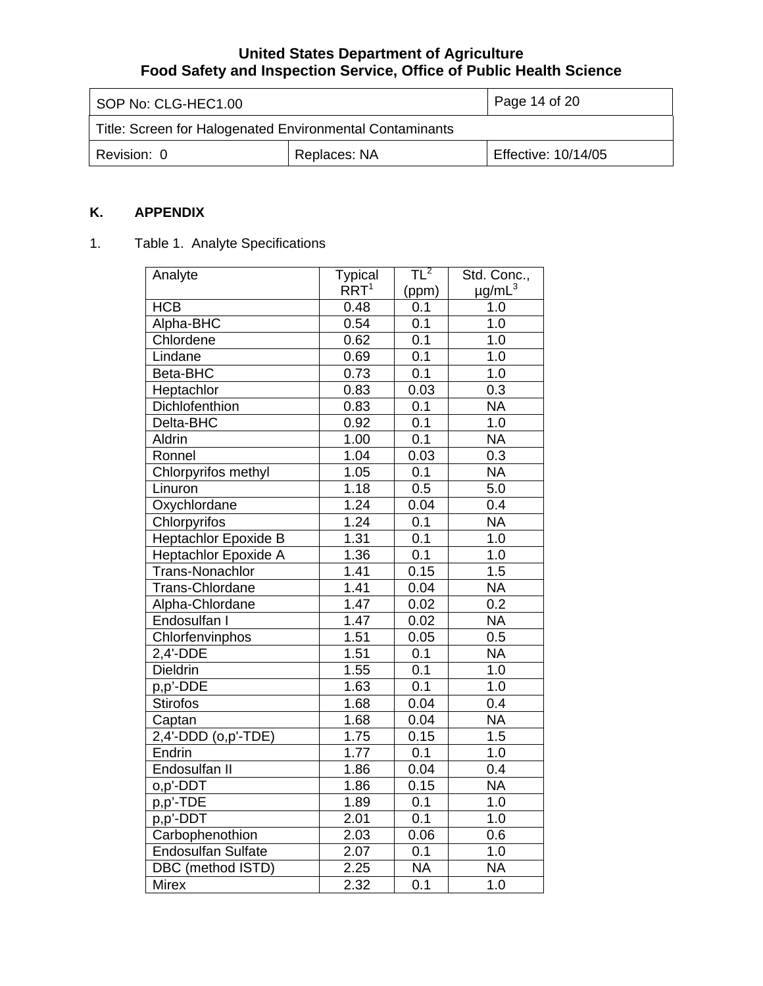| SOP No: CLG-HEC1.00                                      |  | Page 14 of 20       |
|----------------------------------------------------------|--|---------------------|
| Title: Screen for Halogenated Environmental Contaminants |  |                     |
| Replaces: NA<br>Revision: 0                              |  | Effective: 10/14/05 |

## **K. APPENDIX**

## 1. Table 1. Analyte Specifications

| Analyte                     | <b>Typical</b>   | $TL^2$           | Std. Conc.,             |
|-----------------------------|------------------|------------------|-------------------------|
|                             | RRT <sup>1</sup> | (ppm)            | $\mu$ g/mL <sup>3</sup> |
| <b>HCB</b>                  | 0.48             | 0.1              | 1.0                     |
| Alpha-BHC                   | 0.54             | 0.1              | 1.0                     |
| Chlordene                   | 0.62             | 0.1              | 1.0                     |
| Lindane                     | 0.69             | $0.\overline{1}$ | $\overline{1.0}$        |
| Beta-BHC                    | 0.73             | 0.1              | 1.0                     |
| Heptachlor                  | 0.83             | 0.03             | 0.3                     |
| Dichlofenthion              | 0.83             | $\overline{0.1}$ | <b>NA</b>               |
| Delta-BHC                   | 0.92             | 0.1              | 1.0                     |
| Aldrin                      | 1.00             | 0.1              | <b>NA</b>               |
| Ronnel                      | 1.04             | 0.03             | $\overline{0.3}$        |
| Chlorpyrifos methyl         | 1.05             | 0.1              | <b>NA</b>               |
| Linuron                     | 1.18             | 0.5              | 5.0                     |
| Oxychlordane                | 1.24             | 0.04             | 0.4                     |
| Chlorpyrifos                | 1.24             | 0.1              | <b>NA</b>               |
| <b>Heptachlor Epoxide B</b> | 1.31             | 0.1              | 1.0                     |
| Heptachlor Epoxide A        | 1.36             | 0.1              | 1.0                     |
| Trans-Nonachlor             | 1.41             | 0.15             | 1.5                     |
| Trans-Chlordane             | 1.41             | 0.04             | <b>NA</b>               |
| Alpha-Chlordane             | 1.47             | 0.02             | $\overline{0.2}$        |
| Endosulfan I                | 1.47             | 0.02             | <b>NA</b>               |
| Chlorfenvinphos             | 1.51             | 0.05             | 0.5                     |
| 2,4'-DDE                    | 1.51             | 0.1              | <b>NA</b>               |
| Dieldrin                    | 1.55             | 0.1              | 1.0                     |
| p,p'-DDE                    | 1.63             | 0.1              | 1.0                     |
| <b>Stirofos</b>             | 1.68             | 0.04             | 0.4                     |
| Captan                      | 1.68             | 0.04             | <b>NA</b>               |
| 2,4'-DDD (o,p'-TDE)         | 1.75             | 0.15             | 1.5                     |
| Endrin                      | 1.77             | 0.1              | $\overline{1}$ .0       |
| Endosulfan II               | 1.86             | 0.04             | 0.4                     |
| o,p'-DDT                    | 1.86             | 0.15             | <b>NA</b>               |
| p,p'-TDE                    | 1.89             | $\overline{0.1}$ | $\overline{1.0}$        |
| $p, p'$ -DDT                | 2.01             | 0.1              | 1.0                     |
| Carbophenothion             | 2.03             | 0.06             | 0.6                     |
| <b>Endosulfan Sulfate</b>   | 2.07             | $\overline{0.1}$ | 1.0                     |
| DBC (method ISTD)           | 2.25             | <b>NA</b>        | <b>NA</b>               |
| <b>Mirex</b>                | 2.32             | 0.1              | 1.0                     |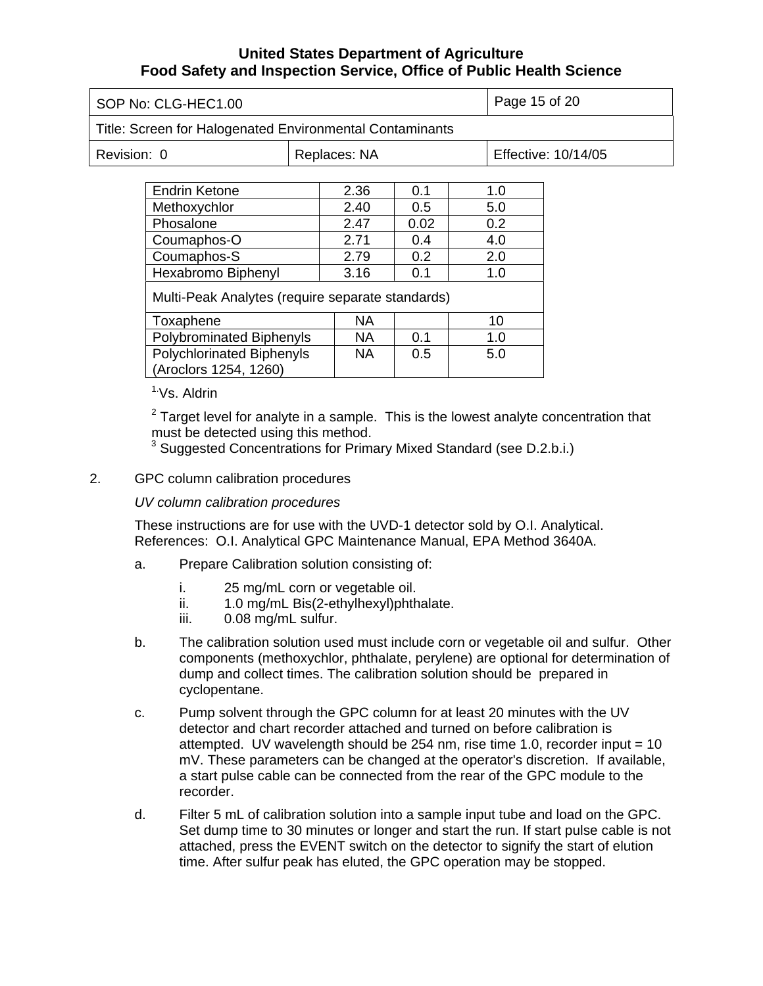| SOP No: CLG-HEC1.00                                      |  |      |               | Page 15 of 20       |               |  |
|----------------------------------------------------------|--|------|---------------|---------------------|---------------|--|
| Title: Screen for Halogenated Environmental Contaminants |  |      |               |                     |               |  |
| Revision: 0<br>Replaces: NA                              |  |      |               | Effective: 10/14/05 |               |  |
|                                                          |  |      |               |                     |               |  |
| <b>Endrin Ketone</b>                                     |  | 2.36 | 0.1           |                     | 1.0           |  |
| Methoxychlor                                             |  | 2.40 | $0.5^{\circ}$ |                     | 5.0           |  |
| Phosalone                                                |  | 2.47 | 0.02          |                     | $0.2^{\circ}$ |  |
| Coumaphos-O                                              |  | 2.71 | 0.4           |                     | 4.0           |  |
| Coumaphos-S                                              |  | 2.79 | 0.2           |                     | 2.0           |  |
| Hexabromo Biphenyl                                       |  | 3.16 | 0.1           |                     | 1.0           |  |
| Multi-Peak Analytes (require separate standards)         |  |      |               |                     |               |  |
| Toxaphene                                                |  | NA.  |               |                     | 10            |  |

| Toxaphene                                                 | NΑ        |     |     |
|-----------------------------------------------------------|-----------|-----|-----|
| <b>Polybrominated Biphenyls</b>                           | <b>NA</b> | 0.1 | 1.0 |
| <b>Polychlorinated Biphenyls</b><br>(Aroclors 1254, 1260) | ΝA        | 0.5 | 5.0 |

1.Vs. Aldrin

 $2$  Target level for analyte in a sample. This is the lowest analyte concentration that must be detected using this method.

<sup>3</sup> Suggested Concentrations for Primary Mixed Standard (see D.2.b.i.)

## 2. GPC column calibration procedures

### *UV column calibration procedures*

These instructions are for use with the UVD-1 detector sold by O.I. Analytical. References: O.I. Analytical GPC Maintenance Manual, EPA Method 3640A.

- a. Prepare Calibration solution consisting of:
	- i. 25 mg/mL corn or vegetable oil.
	- ii. 1.0 mg/mL Bis(2-ethylhexyl)phthalate.
	- iii. 0.08 mg/mL sulfur.
- b. The calibration solution used must include corn or vegetable oil and sulfur. Other components (methoxychlor, phthalate, perylene) are optional for determination of dump and collect times. The calibration solution should be prepared in cyclopentane.
- c. Pump solvent through the GPC column for at least 20 minutes with the UV detector and chart recorder attached and turned on before calibration is attempted. UV wavelength should be  $254$  nm, rise time 1.0, recorder input =  $10$ mV. These parameters can be changed at the operator's discretion. If available, a start pulse cable can be connected from the rear of the GPC module to the recorder.
- d. Filter 5 mL of calibration solution into a sample input tube and load on the GPC. Set dump time to 30 minutes or longer and start the run. If start pulse cable is not attached, press the EVENT switch on the detector to signify the start of elution time. After sulfur peak has eluted, the GPC operation may be stopped.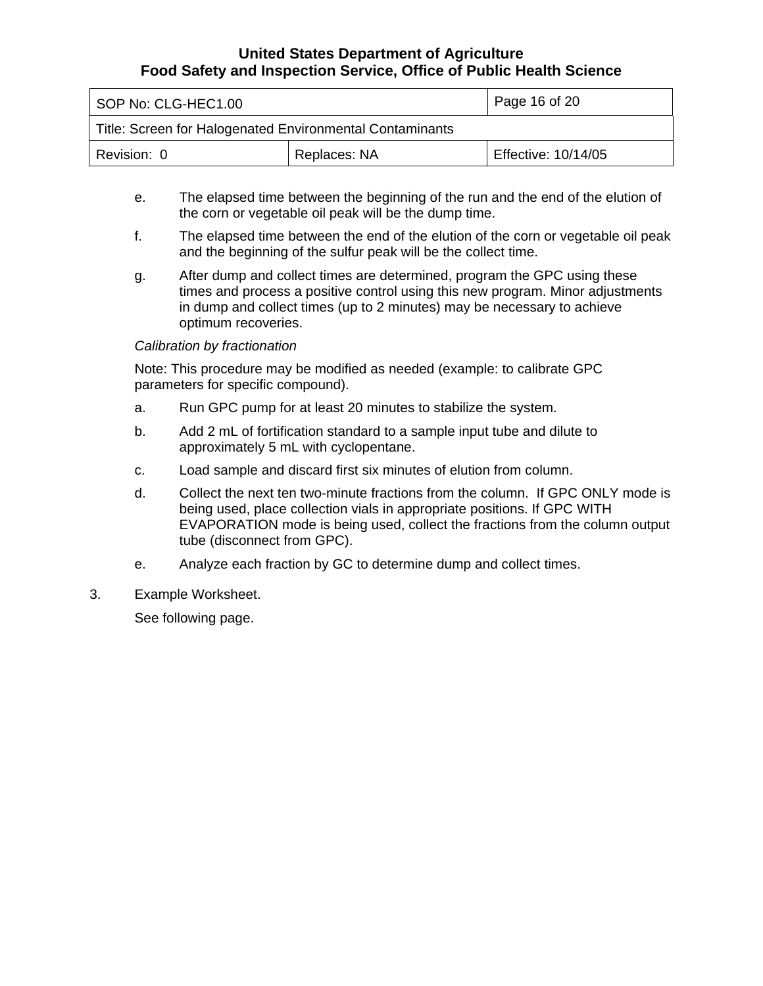| SOP No: CLG-HEC1.00                                      |  | Page 16 of 20       |  |
|----------------------------------------------------------|--|---------------------|--|
| Title: Screen for Halogenated Environmental Contaminants |  |                     |  |
| Replaces: NA<br>Revision: 0                              |  | Effective: 10/14/05 |  |

- e. The elapsed time between the beginning of the run and the end of the elution of the corn or vegetable oil peak will be the dump time.
- f. The elapsed time between the end of the elution of the corn or vegetable oil peak and the beginning of the sulfur peak will be the collect time.
- g. After dump and collect times are determined, program the GPC using these times and process a positive control using this new program. Minor adjustments in dump and collect times (up to 2 minutes) may be necessary to achieve optimum recoveries.

#### *Calibration by fractionation*

Note: This procedure may be modified as needed (example: to calibrate GPC parameters for specific compound).

- a. Run GPC pump for at least 20 minutes to stabilize the system.
- b. Add 2 mL of fortification standard to a sample input tube and dilute to approximately 5 mL with cyclopentane.
- c. Load sample and discard first six minutes of elution from column.
- d. Collect the next ten two-minute fractions from the column. If GPC ONLY mode is being used, place collection vials in appropriate positions. If GPC WITH EVAPORATION mode is being used, collect the fractions from the column output tube (disconnect from GPC).
- e. Analyze each fraction by GC to determine dump and collect times.
- 3. Example Worksheet.

See following page.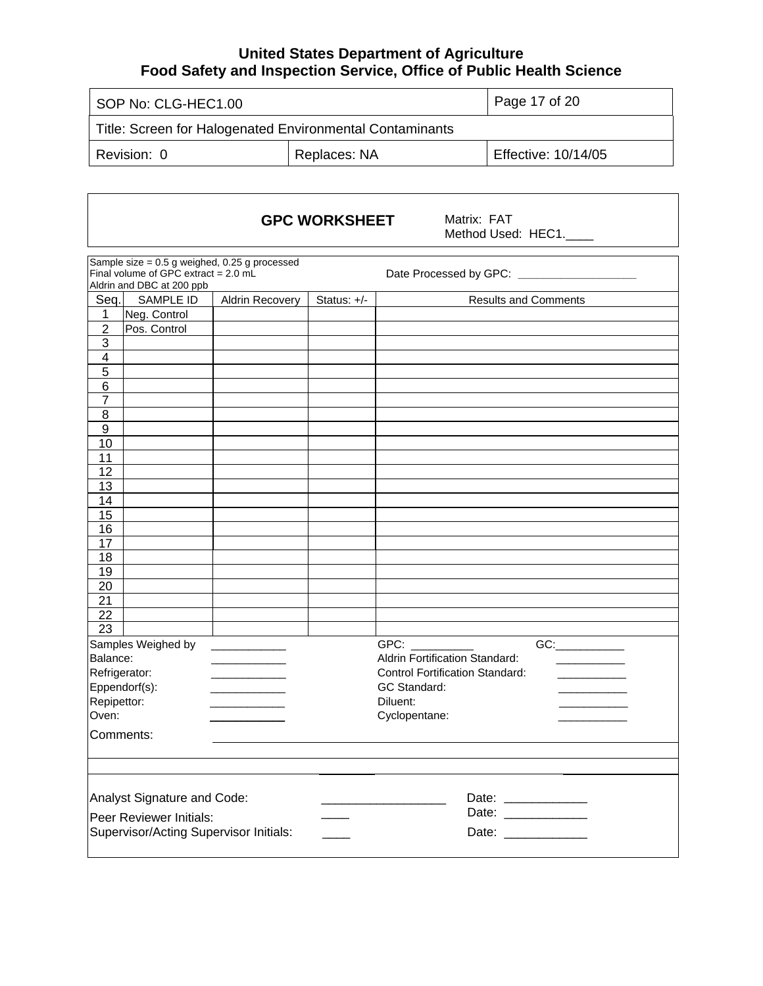| SOP No: CLG-HEC1.00                                      |  | Page 17 of 20       |
|----------------------------------------------------------|--|---------------------|
| Title: Screen for Halogenated Environmental Contaminants |  |                     |
| Replaces: NA<br>Revision: 0                              |  | Effective: 10/14/05 |

 $\sqrt{ }$ 

|                         |                                                                             |                                               | <b>GPC WORKSHEET</b> | Matrix: FAT<br>Method Used: HEC1.                                                                                                                                                                                                    |
|-------------------------|-----------------------------------------------------------------------------|-----------------------------------------------|----------------------|--------------------------------------------------------------------------------------------------------------------------------------------------------------------------------------------------------------------------------------|
|                         | Final volume of GPC extract = $2.0 \text{ mL}$<br>Aldrin and DBC at 200 ppb | Sample size = 0.5 g weighed, 0.25 g processed |                      | Date Processed by GPC: _____________________                                                                                                                                                                                         |
| Seq.                    | SAMPLE ID                                                                   | Aldrin Recovery                               | Status: +/-          | <b>Results and Comments</b>                                                                                                                                                                                                          |
| 1                       | Neg. Control                                                                |                                               |                      |                                                                                                                                                                                                                                      |
| $\overline{2}$          | Pos. Control                                                                |                                               |                      |                                                                                                                                                                                                                                      |
| $\overline{3}$          |                                                                             |                                               |                      |                                                                                                                                                                                                                                      |
| 4                       |                                                                             |                                               |                      |                                                                                                                                                                                                                                      |
| 5                       |                                                                             |                                               |                      |                                                                                                                                                                                                                                      |
| $\,6$                   |                                                                             |                                               |                      |                                                                                                                                                                                                                                      |
| $\overline{7}$          |                                                                             |                                               |                      |                                                                                                                                                                                                                                      |
| 8                       |                                                                             |                                               |                      |                                                                                                                                                                                                                                      |
| $\boldsymbol{9}$        |                                                                             |                                               |                      |                                                                                                                                                                                                                                      |
| 10                      |                                                                             |                                               |                      |                                                                                                                                                                                                                                      |
| 11                      |                                                                             |                                               |                      |                                                                                                                                                                                                                                      |
| 12                      |                                                                             |                                               |                      |                                                                                                                                                                                                                                      |
| 13                      |                                                                             |                                               |                      |                                                                                                                                                                                                                                      |
| 14                      |                                                                             |                                               |                      |                                                                                                                                                                                                                                      |
| 15                      |                                                                             |                                               |                      |                                                                                                                                                                                                                                      |
| 16                      |                                                                             |                                               |                      |                                                                                                                                                                                                                                      |
| 17                      |                                                                             |                                               |                      |                                                                                                                                                                                                                                      |
| 18                      |                                                                             |                                               |                      |                                                                                                                                                                                                                                      |
| 19                      |                                                                             |                                               |                      |                                                                                                                                                                                                                                      |
| 20                      |                                                                             |                                               |                      |                                                                                                                                                                                                                                      |
| 21                      |                                                                             |                                               |                      |                                                                                                                                                                                                                                      |
| 22                      |                                                                             |                                               |                      |                                                                                                                                                                                                                                      |
| $\overline{23}$         |                                                                             |                                               |                      |                                                                                                                                                                                                                                      |
|                         | Samples Weighed by                                                          | <b>Contract Contract Contract</b>             |                      | GPC: Analysis of the state of the state of the state of the state of the state of the state of the state of the state of the state of the state of the state of the state of the state of the state of the state of the state<br>GC: |
| Balance:                |                                                                             |                                               |                      | Aldrin Fortification Standard:                                                                                                                                                                                                       |
| Refrigerator:           |                                                                             |                                               |                      | <b>Control Fortification Standard:</b><br>$\mathcal{L}^{\mathcal{L}}(\mathcal{L}^{\mathcal{L}})$ , where $\mathcal{L}^{\mathcal{L}}(\mathcal{L}^{\mathcal{L}})$                                                                      |
|                         | Eppendorf(s):                                                               |                                               |                      | GC Standard:                                                                                                                                                                                                                         |
| Repipettor:             |                                                                             |                                               |                      | Diluent:                                                                                                                                                                                                                             |
| Oven:                   |                                                                             |                                               |                      | Cyclopentane:                                                                                                                                                                                                                        |
| Comments:               |                                                                             |                                               |                      |                                                                                                                                                                                                                                      |
|                         |                                                                             |                                               |                      |                                                                                                                                                                                                                                      |
|                         | Analyst Signature and Code:                                                 |                                               |                      |                                                                                                                                                                                                                                      |
| Peer Reviewer Initials: |                                                                             |                                               |                      |                                                                                                                                                                                                                                      |
|                         | Supervisor/Acting Supervisor Initials:                                      |                                               |                      | Date: ____________                                                                                                                                                                                                                   |
|                         |                                                                             |                                               |                      |                                                                                                                                                                                                                                      |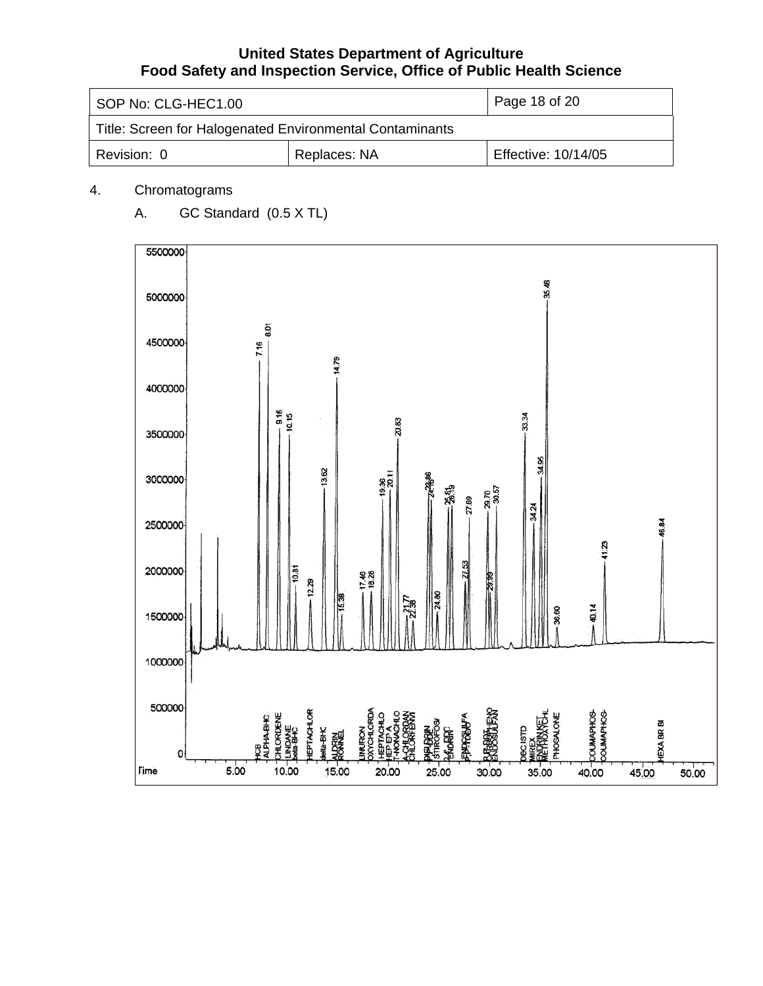| SOP No: CLG-HEC1.00                                      |  | Page 18 of 20       |
|----------------------------------------------------------|--|---------------------|
| Title: Screen for Halogenated Environmental Contaminants |  |                     |
| Replaces: NA<br>Revision: 0                              |  | Effective: 10/14/05 |

## 4. Chromatograms

A. GC Standard (0.5 X TL)

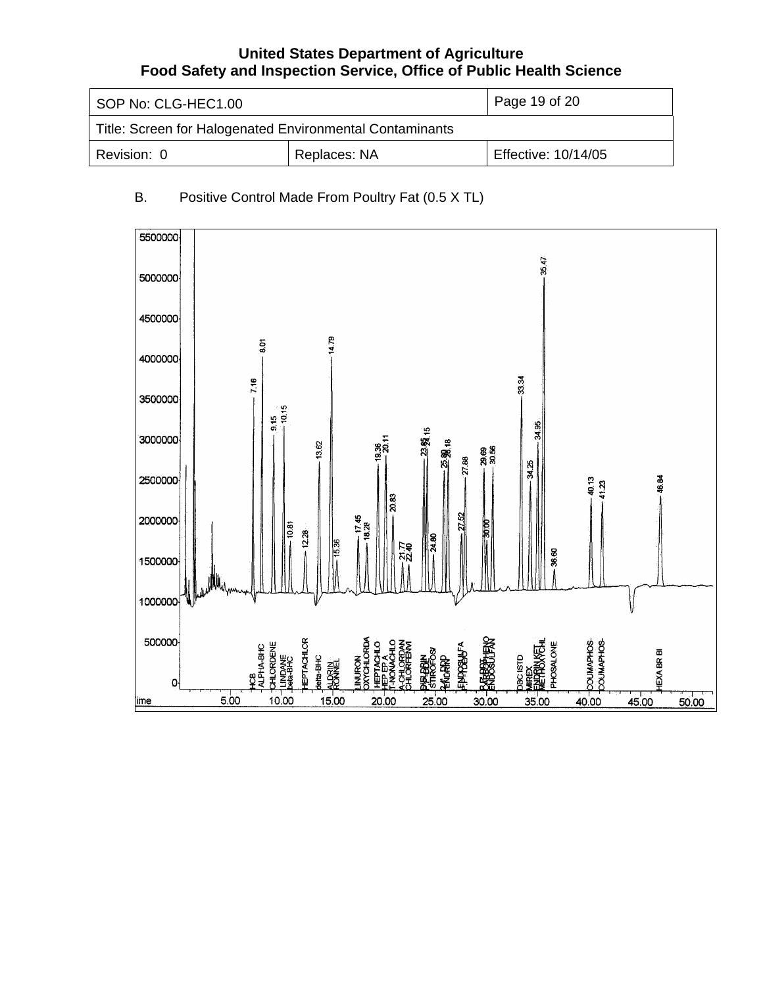| SOP No: CLG-HEC1.00                                      |  | Page 19 of 20       |
|----------------------------------------------------------|--|---------------------|
| Title: Screen for Halogenated Environmental Contaminants |  |                     |
| Replaces: NA<br>Revision: 0                              |  | Effective: 10/14/05 |

## B. Positive Control Made From Poultry Fat (0.5 X TL)